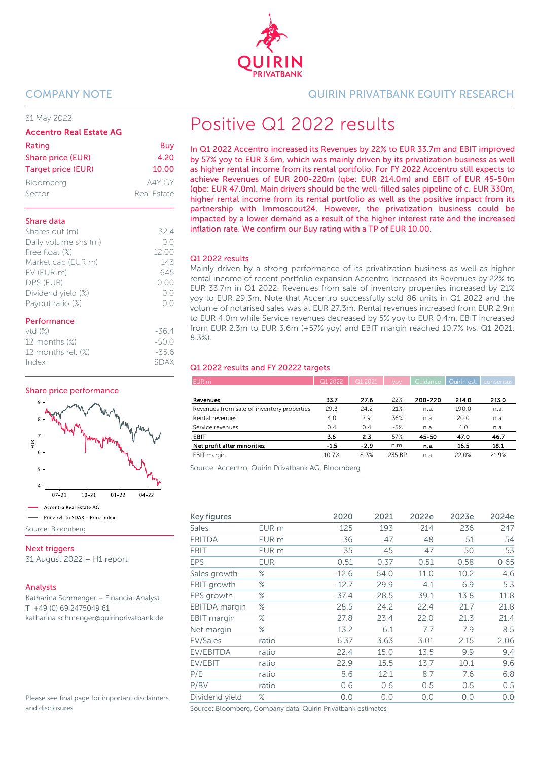

#### 31 May 2022

#### Accentro Real Estate AG

| Rating                    | Buy         |
|---------------------------|-------------|
| Share price (EUR)         | 4.20        |
| <b>Target price (EUR)</b> | 10.00       |
| Bloomberg                 | A4Y GY      |
| Sector                    | Real Estate |

#### Share data

| Shares out (m)       | 324                |
|----------------------|--------------------|
| Daily volume shs (m) | ()()               |
| Free float (%)       | 12.00              |
| Market cap (EUR m)   | 143                |
| EV (EUR m)           | 645                |
| DPS (EUR)            | (0.00)             |
| Dividend yield (%)   | $( )_{\alpha} ( )$ |
| Payout ratio (%)     |                    |
|                      |                    |

#### Performance

| $ytd(\%)$             | $-36.4$ |
|-----------------------|---------|
| 12 months (%)         | $-500$  |
| 12 months rel. $(\%)$ | $-35.6$ |
| Index                 | SDAX    |

#### Share price performance



Next triggers

31 August 2022 – H1 report

#### Analysts

Katharina Schmenger – Financial Analyst T +49 (0) 69 2475049 61 katharina.schmenger@quirinprivatbank.de

Please see final page for important disclaimers and disclosures

#### COMPANY NOTE QUIRIN PRIVATBANK EQUITY RESEARCH

# Positive Q1 2022 results

In Q1 2022 Accentro increased its Revenues by 22% to EUR 33.7m and EBIT improved by 57% yoy to EUR 3.6m, which was mainly driven by its privatization business as well as higher rental income from its rental portfolio. For FY 2022 Accentro still expects to achieve Revenues of EUR 200-220m (qbe: EUR 214.0m) and EBIT of EUR 45-50m (qbe: EUR 47.0m). Main drivers should be the well-filled sales pipeline of c. EUR 330m, higher rental income from its rental portfolio as well as the positive impact from its partnership with Immoscout24. However, the privatization business could be impacted by a lower demand as a result of the higher interest rate and the increased inflation rate. We confirm our Buy rating with a TP of EUR 10.00.

#### Q1 2022 results

Mainly driven by a strong performance of its privatization business as well as higher rental income of recent portfolio expansion Accentro increased its Revenues by 22% to EUR 33.7m in Q1 2022. Revenues from sale of inventory properties increased by 21% yoy to EUR 29.3m. Note that Accentro successfully sold 86 units in Q1 2022 and the volume of notarised sales was at EUR 27.3m. Rental revenues increased from EUR 2.9m to EUR 4.0m while Service revenues decreased by 5% yoy to EUR 0.4m. EBIT increased from EUR 2.3m to EUR 3.6m (+57% yoy) and EBIT margin reached 10.7% (vs. Q1 2021: 8.3%).

#### Q1 2022 results and FY 20222 targets

| EUR m                                      | Q1 2022 | Q1 2021 | VOV -  | Guidance |       | Quirin est. consensus |
|--------------------------------------------|---------|---------|--------|----------|-------|-----------------------|
|                                            |         |         |        |          |       |                       |
| Revenues                                   | 33.7    | 27.6    | 22%    | 200-220  | 214.0 | 213.0                 |
| Revenues from sale of inventory properties | 29.3    | 24.2    | 21%    | n.a.     | 190.0 | n.a.                  |
| Rental revenues                            | 4.0     | 2.9     | 36%    | n.a.     | 20.0  | n.a.                  |
| Service revenues                           | 0.4     | 0.4     | $-5%$  | n.a.     | 4.0   | n.a.                  |
| <b>EBIT</b>                                | 3.6     | 2.3     | 57%    | 45-50    | 47.0  | 46.7                  |
| Net profit after minorities                | $-1.5$  | $-2.9$  | n.m.   | n.a.     | 16.5  | 18.1                  |
| EBIT margin                                | 10.7%   | 8.3%    | 235 BP | n.a.     | 22.0% | 21.9%                 |

Source: Accentro, Quirin Privatbank AG, Bloomberg

| Key figures        |                  | 2020    | 2021    | 2022e | 2023e | 2024e |
|--------------------|------------------|---------|---------|-------|-------|-------|
| Sales              | EUR m            | 125     | 193     | 214   | 236   | 247   |
| <b>EBITDA</b>      | EUR <sub>m</sub> | 36      | 47      | 48    | 51    | 54    |
| <b>EBIT</b>        | EUR <sub>m</sub> | 35      | 45      | 47    | 50    | 53    |
| <b>EPS</b>         | <b>EUR</b>       | 0.51    | 0.37    | 0.51  | 0.58  | 0.65  |
| Sales growth       | ℅                | $-12.6$ | 54.0    | 11.0  | 10.2  | 4.6   |
| <b>EBIT</b> growth | ℅                | $-12.7$ | 29.9    | 4.1   | 6.9   | 5.3   |
| EPS growth         | ℅                | $-37.4$ | $-28.5$ | 39.1  | 13.8  | 11.8  |
| EBITDA margin      | ℅                | 28.5    | 24.2    | 22.4  | 21.7  | 21.8  |
| EBIT margin        | ℅                | 27.8    | 23.4    | 22.0  | 21.3  | 21.4  |
| Net margin         | ℅                | 13.2    | 6.1     | 7.7   | 7.9   | 8.5   |
| EV/Sales           | ratio            | 6.37    | 3.63    | 3.01  | 2.15  | 2.06  |
| EV/EBITDA          | ratio            | 22.4    | 15.0    | 13.5  | 9.9   | 9.4   |
| EV/EBIT            | ratio            | 22.9    | 15.5    | 13.7  | 10.1  | 9.6   |
| P/E                | ratio            | 8.6     | 12.1    | 8.7   | 7.6   | 6.8   |
| P/BV               | ratio            | 0.6     | 0.6     | 0.5   | 0.5   | 0.5   |
| Dividend yield     | $\%$             | 0.0     | 0.0     | 0.0   | 0.0   | 0.0   |

Source: Bloomberg, Company data, Quirin Privatbank estimates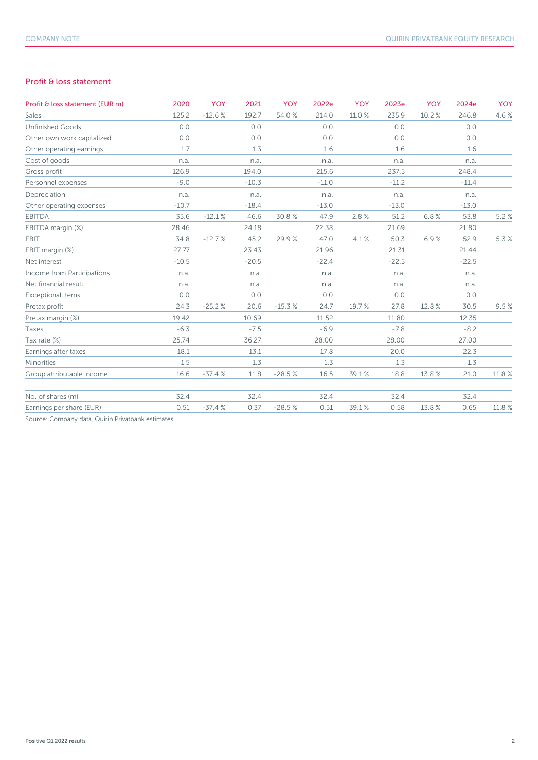#### Profit & loss statement

| Profit & loss statement (EUR m) | 2020    | <b>YOY</b> | 2021    | <b>YOY</b> | 2022e   | YOY    | 2023e   | <b>YOY</b> | 2024e   | <b>YOY</b> |
|---------------------------------|---------|------------|---------|------------|---------|--------|---------|------------|---------|------------|
| Sales                           | 125.2   | $-12.6%$   | 192.7   | 54.0%      | 214.0   | 11.0 % | 235.9   | 10.2%      | 246.8   | 4.6%       |
| <b>Unfinished Goods</b>         | 0.0     |            | 0.0     |            | 0.0     |        | 0.0     |            | 0.0     |            |
| Other own work capitalized      | 0.0     |            | 0.0     |            | 0.0     |        | 0.0     |            | 0.0     |            |
| Other operating earnings        | 1.7     |            | 1.3     |            | 1.6     |        | 1.6     |            | 1.6     |            |
| Cost of goods                   | n.a.    |            | n.a.    |            | n.a.    |        | n.a.    |            | n.a.    |            |
| Gross profit                    | 126.9   |            | 194.0   |            | 215.6   |        | 237.5   |            | 248.4   |            |
| Personnel expenses              | $-9.0$  |            | $-10.3$ |            | $-11.0$ |        | $-11.2$ |            | $-11.4$ |            |
| Depreciation                    | n.a.    |            | n.a.    |            | n.a.    |        | n.a.    |            | n.a.    |            |
| Other operating expenses        | $-10.7$ |            | $-18.4$ |            | $-13.0$ |        | $-13.0$ |            | $-13.0$ |            |
| <b>EBITDA</b>                   | 35.6    | $-12.1%$   | 46.6    | 30.8%      | 47.9    | 2.8%   | 51.2    | 6.8%       | 53.8    | 5.2%       |
| EBITDA margin (%)               | 28.46   |            | 24.18   |            | 22.38   |        | 21.69   |            | 21.80   |            |
| EBIT                            | 34.8    | $-12.7%$   | 45.2    | 29.9%      | 47.0    | 4.1%   | 50.3    | 6.9%       | 52.9    | 5.3%       |
| EBIT margin (%)                 | 27.77   |            | 23.43   |            | 21.96   |        | 21.31   |            | 21.44   |            |
| Net interest                    | $-10.5$ |            | $-20.5$ |            | $-22.4$ |        | $-22.5$ |            | $-22.5$ |            |
| Income from Participations      | n.a.    |            | n.a.    |            | n.a.    |        | n.a.    |            | n.a.    |            |
| Net financial result            | n.a.    |            | n.a.    |            | n.a.    |        | n.a.    |            | n.a.    |            |
| Exceptional items               | 0.0     |            | 0.0     |            | 0.0     |        | 0.0     |            | 0.0     |            |
| Pretax profit                   | 24.3    | $-25.2%$   | 20.6    | $-15.3%$   | 24.7    | 19.7%  | 27.8    | 12.8%      | 30.5    | 9.5%       |
| Pretax margin (%)               | 19.42   |            | 10.69   |            | 11.52   |        | 11.80   |            | 12.35   |            |
| Taxes                           | $-6.3$  |            | $-7.5$  |            | $-6.9$  |        | $-7.8$  |            | $-8.2$  |            |
| Tax rate (%)                    | 25.74   |            | 36.27   |            | 28.00   |        | 28.00   |            | 27.00   |            |
| Earnings after taxes            | 18.1    |            | 13.1    |            | 17.8    |        | 20.0    |            | 22.3    |            |
| Minorities                      | 1.5     |            | 1.3     |            | 1.3     |        | 1.3     |            | 1.3     |            |
| Group attributable income       | 16.6    | $-37.4%$   | 11.8    | $-28.5%$   | 16.5    | 39.1%  | 18.8    | 13.8 %     | 21.0    | 11.8 %     |
| No. of shares (m)               | 32.4    |            | 32.4    |            | 32.4    |        | 32.4    |            | 32.4    |            |
| Earnings per share (EUR)        | 0.51    | $-37.4%$   | 0.37    | $-28.5%$   | 0.51    | 39.1%  | 0.58    | 13.8%      | 0.65    | 11.8%      |

Source: Company data, Quirin Privatbank estimates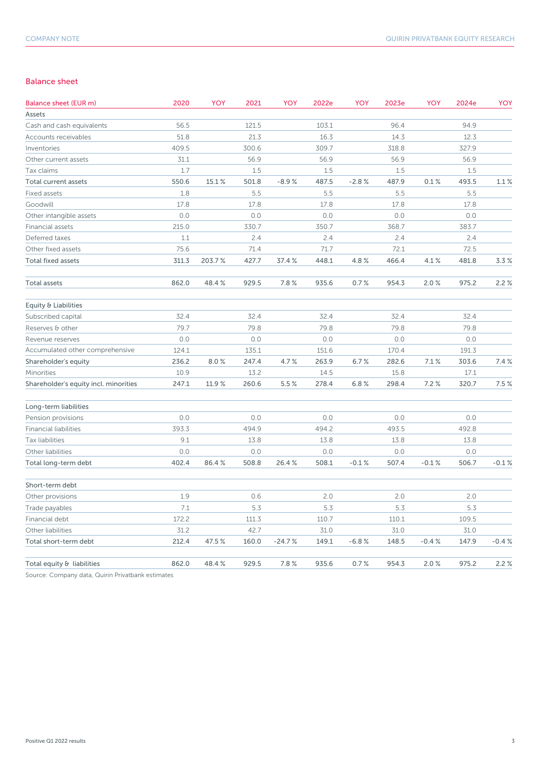#### Balance sheet

| Balance sheet (EUR m)                 | 2020  | YOY    | 2021  | YOY      | 2022e | YOY     | 2023e | YOY     | 2024e | YOY     |
|---------------------------------------|-------|--------|-------|----------|-------|---------|-------|---------|-------|---------|
| Assets                                |       |        |       |          |       |         |       |         |       |         |
| Cash and cash equivalents             | 56.5  |        | 121.5 |          | 103.1 |         | 96.4  |         | 94.9  |         |
| Accounts receivables                  | 51.8  |        | 21.3  |          | 16.3  |         | 14.3  |         | 12.3  |         |
| Inventories                           | 409.5 |        | 300.6 |          | 309.7 |         | 318.8 |         | 327.9 |         |
| Other current assets                  | 31.1  |        | 56.9  |          | 56.9  |         | 56.9  |         | 56.9  |         |
| Tax claims                            | 1.7   |        | 1.5   |          | 1.5   |         | 1.5   |         | 1.5   |         |
| Total current assets                  | 550.6 | 15.1%  | 501.8 | $-8.9%$  | 487.5 | $-2.8%$ | 487.9 | 0.1%    | 493.5 | 1.1%    |
| Fixed assets                          | 1.8   |        | 5.5   |          | 5.5   |         | 5.5   |         | 5.5   |         |
| Goodwill                              | 17.8  |        | 17.8  |          | 17.8  |         | 17.8  |         | 17.8  |         |
| Other intangible assets               | 0.0   |        | 0.0   |          | 0.0   |         | 0.0   |         | 0.0   |         |
| Financial assets                      | 215.0 |        | 330.7 |          | 350.7 |         | 368.7 |         | 383.7 |         |
| Deferred taxes                        | 1.1   |        | 2.4   |          | 2.4   |         | 2.4   |         | 2.4   |         |
| Other fixed assets                    | 75.6  |        | 71.4  |          | 71.7  |         | 72.1  |         | 72.5  |         |
| <b>Total fixed assets</b>             | 311.3 | 203.7% | 427.7 | 37.4%    | 448.1 | 4.8%    | 466.4 | 4.1%    | 481.8 | 3.3%    |
| Total assets                          | 862.0 | 48.4%  | 929.5 | 7.8%     | 935.6 | 0.7%    | 954.3 | 2.0%    | 975.2 | 2.2%    |
| Equity & Liabilities                  |       |        |       |          |       |         |       |         |       |         |
| Subscribed capital                    | 32.4  |        | 32.4  |          | 32.4  |         | 32.4  |         | 32.4  |         |
| Reserves & other                      | 79.7  |        | 79.8  |          | 79.8  |         | 79.8  |         | 79.8  |         |
| Revenue reserves                      | 0.0   |        | 0.0   |          | 0.0   |         | 0.0   |         | 0.0   |         |
| Accumulated other comprehensive       | 124.1 |        | 135.1 |          | 151.6 |         | 170.4 |         | 191.3 |         |
| Shareholder's equity                  | 236.2 | 8.0%   | 247.4 | 4.7%     | 263.9 | 6.7%    | 282.6 | 7.1%    | 303.6 | 7.4%    |
| <b>Minorities</b>                     | 10.9  |        | 13.2  |          | 14.5  |         | 15.8  |         | 17.1  |         |
| Shareholder's equity incl. minorities | 247.1 | 11.9 % | 260.6 | 5.5 %    | 278.4 | 6.8%    | 298.4 | 7.2%    | 320.7 | 7.5%    |
| Long-term liabilities                 |       |        |       |          |       |         |       |         |       |         |
| Pension provisions                    | 0.0   |        | 0.0   |          | 0.0   |         | 0.0   |         | 0.0   |         |
| <b>Financial liabilities</b>          | 393.3 |        | 494.9 |          | 494.2 |         | 493.5 |         | 492.8 |         |
| Tax liabilities                       | 9.1   |        | 13.8  |          | 13.8  |         | 13.8  |         | 13.8  |         |
| Other liabilities                     | 0.0   |        | 0.0   |          | 0.0   |         | 0.0   |         | 0.0   |         |
| Total long-term debt                  | 402.4 | 86.4%  | 508.8 | 26.4%    | 508.1 | $-0.1%$ | 507.4 | $-0.1%$ | 506.7 | $-0.1%$ |
| Short-term debt                       |       |        |       |          |       |         |       |         |       |         |
| Other provisions                      | 1.9   |        | 0.6   |          | 2.0   |         | 2.0   |         | 2.0   |         |
| Trade payables                        | 7.1   |        | $5.3$ |          | 5.3   |         | $5.3$ |         | 5.3   |         |
| Financial debt                        | 172.2 |        | 111.3 |          | 110.7 |         | 110.1 |         | 109.5 |         |
| Other liabilities                     | 31.2  |        | 42.7  |          | 31.0  |         | 31.0  |         | 31.0  |         |
| Total short-term debt                 | 212.4 | 47.5%  | 160.0 | $-24.7%$ | 149.1 | $-6.8%$ | 148.5 | $-0.4%$ | 147.9 | $-0.4%$ |
| Total equity & liabilities            | 862.0 | 48.4%  | 929.5 | 7.8%     | 935.6 | 0.7%    | 954.3 | 2.0%    | 975.2 | 2.2%    |

Source: Company data, Quirin Privatbank estimates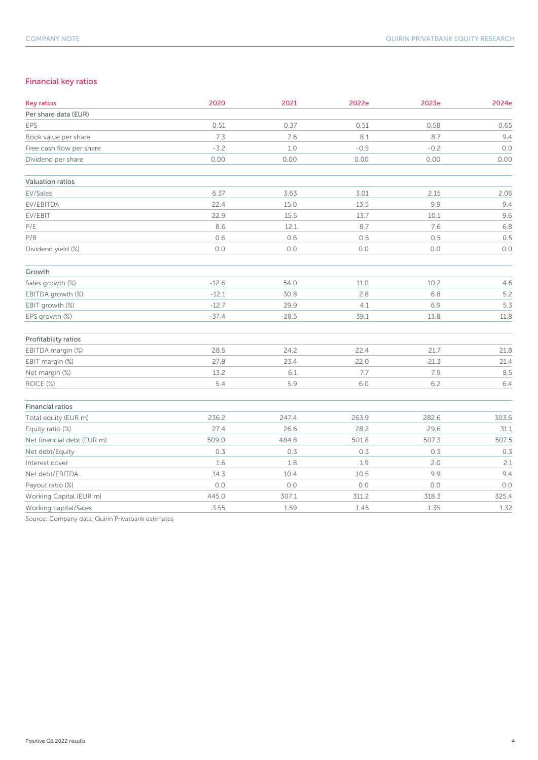### Financial key ratios

| <b>Key ratios</b>          | 2020    | 2021    | 2022e  | 2023e   | 2024e |
|----------------------------|---------|---------|--------|---------|-------|
| Per share data (EUR)       |         |         |        |         |       |
| EPS                        | 0.51    | 0.37    | 0.51   | 0.58    | 0.65  |
| Book value per share       | 7.3     | 7.6     | 8.1    | 8.7     | 9.4   |
| Free cash flow per share   | $-3.2$  | 1.0     | $-0.5$ | $-0.2$  | 0.0   |
| Dividend per share         | 0.00    | 0.00    | 0.00   | 0.00    | 0.00  |
| Valuation ratios           |         |         |        |         |       |
| EV/Sales                   | 6.37    | 3.63    | 3.01   | 2.15    | 2.06  |
| EV/EBITDA                  | 22.4    | 15.0    | 13.5   | 9.9     | 9.4   |
| EV/EBIT                    | 22.9    | 15.5    | 13.7   | 10.1    | 9.6   |
| $\mathsf{P}/\mathsf{E}$    | 8.6     | 12.1    | 8.7    | 7.6     | 6.8   |
| P/B                        | 0.6     | 0.6     | 0.5    | 0.5     | 0.5   |
| Dividend yield (%)         | 0.0     | 0.0     | 0.0    | 0.0     | 0.0   |
| Growth                     |         |         |        |         |       |
| Sales growth (%)           | $-12.6$ | 54.0    | 11.0   | 10.2    | 4.6   |
| EBITDA growth (%)          | $-12.1$ | 30.8    | 2.8    | 6.8     | 5.2   |
| EBIT growth (%)            | $-12.7$ | 29.9    | 4.1    | 6.9     | 5.3   |
| EPS growth (%)             | $-37.4$ | $-28.5$ | 39.1   | 13.8    | 11.8  |
| Profitability ratios       |         |         |        |         |       |
| EBITDA margin (%)          | 28.5    | 24.2    | 22.4   | 21.7    | 21.8  |
| EBIT margin (%)            | 27.8    | 23.4    | 22.0   | 21.3    | 21.4  |
| Net margin (%)             | 13.2    | 6.1     | 7.7    | 7.9     | 8.5   |
| ROCE (%)                   | 5.4     | 5.9     | $6.0$  | 6.2     | 6.4   |
| <b>Financial ratios</b>    |         |         |        |         |       |
| Total equity (EUR m)       | 236.2   | 247.4   | 263.9  | 282.6   | 303.6 |
| Equity ratio (%)           | 27.4    | 26.6    | 28.2   | 29.6    | 31.1  |
| Net financial debt (EUR m) | 509.0   | 484.8   | 501.8  | 507.3   | 507.5 |
| Net debt/Equity            | 0.3     | 0.3     | 0.3    | 0.3     | 0.3   |
| Interest cover             | 1.6     | 1.8     | 1.9    | 2.0     | 2.1   |
| Net debt/EBITDA            | 14.3    | 10.4    | 10.5   | 9.9     | 9.4   |
| Payout ratio (%)           | 0.0     | $0.0$   | $0.0$  | $0.0\,$ | 0.0   |
| Working Capital (EUR m)    | 445.0   | 307.1   | 311.2  | 318.3   | 325.4 |
| Working capital/Sales      | 3.55    | 1.59    | 1.45   | 1.35    | 1.32  |

Source: Company data, Quirin Privatbank estimates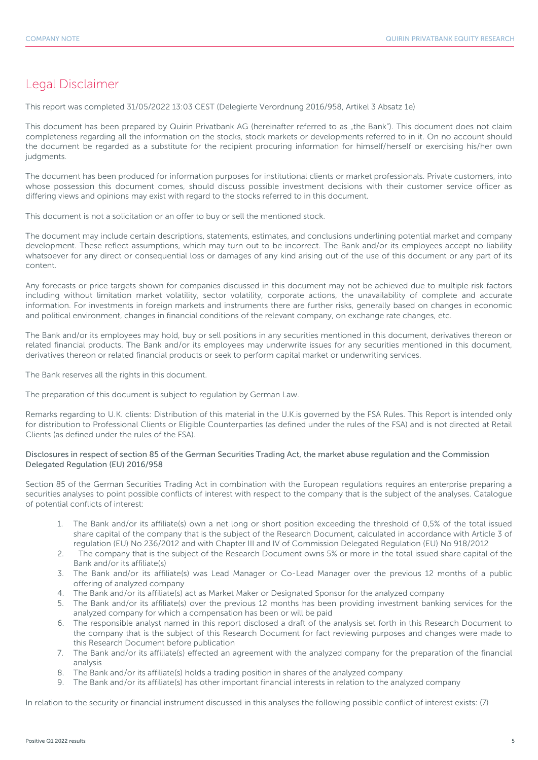## Legal Disclaimer

This report was completed 31/05/2022 13:03 CEST (Delegierte Verordnung 2016/958, Artikel 3 Absatz 1e)

This document has been prepared by Quirin Privatbank AG (hereinafter referred to as "the Bank"). This document does not claim completeness regarding all the information on the stocks, stock markets or developments referred to in it. On no account should the document be regarded as a substitute for the recipient procuring information for himself/herself or exercising his/her own judgments.

The document has been produced for information purposes for institutional clients or market professionals. Private customers, into whose possession this document comes, should discuss possible investment decisions with their customer service officer as differing views and opinions may exist with regard to the stocks referred to in this document.

This document is not a solicitation or an offer to buy or sell the mentioned stock.

The document may include certain descriptions, statements, estimates, and conclusions underlining potential market and company development. These reflect assumptions, which may turn out to be incorrect. The Bank and/or its employees accept no liability whatsoever for any direct or consequential loss or damages of any kind arising out of the use of this document or any part of its content.

Any forecasts or price targets shown for companies discussed in this document may not be achieved due to multiple risk factors including without limitation market volatility, sector volatility, corporate actions, the unavailability of complete and accurate information. For investments in foreign markets and instruments there are further risks, generally based on changes in economic and political environment, changes in financial conditions of the relevant company, on exchange rate changes, etc.

The Bank and/or its employees may hold, buy or sell positions in any securities mentioned in this document, derivatives thereon or related financial products. The Bank and/or its employees may underwrite issues for any securities mentioned in this document, derivatives thereon or related financial products or seek to perform capital market or underwriting services.

The Bank reserves all the rights in this document.

The preparation of this document is subject to regulation by German Law.

Remarks regarding to U.K. clients: Distribution of this material in the U.K.is governed by the FSA Rules. This Report is intended only for distribution to Professional Clients or Eligible Counterparties (as defined under the rules of the FSA) and is not directed at Retail Clients (as defined under the rules of the FSA).

#### Disclosures in respect of section 85 of the German Securities Trading Act, the market abuse regulation and the Commission Delegated Regulation (EU) 2016/958

Section 85 of the German Securities Trading Act in combination with the European regulations requires an enterprise preparing a securities analyses to point possible conflicts of interest with respect to the company that is the subject of the analyses. Catalogue of potential conflicts of interest:

- 1. The Bank and/or its affiliate(s) own a net long or short position exceeding the threshold of 0,5% of the total issued share capital of the company that is the subject of the Research Document, calculated in accordance with Article 3 of regulation (EU) No 236/2012 and with Chapter III and IV of Commission Delegated Regulation (EU) No 918/2012
- 2. The company that is the subject of the Research Document owns 5% or more in the total issued share capital of the Bank and/or its affiliate(s)
- 3. The Bank and/or its affiliate(s) was Lead Manager or Co-Lead Manager over the previous 12 months of a public offering of analyzed company
- 4. The Bank and/or its affiliate(s) act as Market Maker or Designated Sponsor for the analyzed company
- 5. The Bank and/or its affiliate(s) over the previous 12 months has been providing investment banking services for the analyzed company for which a compensation has been or will be paid
- 6. The responsible analyst named in this report disclosed a draft of the analysis set forth in this Research Document to the company that is the subject of this Research Document for fact reviewing purposes and changes were made to this Research Document before publication
- 7. The Bank and/or its affiliate(s) effected an agreement with the analyzed company for the preparation of the financial analysis
- 8. The Bank and/or its affiliate(s) holds a trading position in shares of the analyzed company
- 9. The Bank and/or its affiliate(s) has other important financial interests in relation to the analyzed company

In relation to the security or financial instrument discussed in this analyses the following possible conflict of interest exists: (7)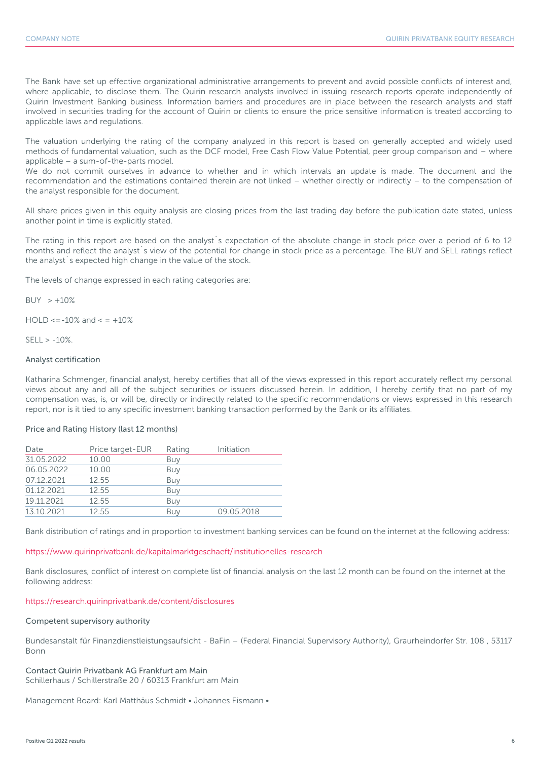The Bank have set up effective organizational administrative arrangements to prevent and avoid possible conflicts of interest and, where applicable, to disclose them. The Quirin research analysts involved in issuing research reports operate independently of Quirin Investment Banking business. Information barriers and procedures are in place between the research analysts and staff involved in securities trading for the account of Quirin or clients to ensure the price sensitive information is treated according to applicable laws and regulations.

The valuation underlying the rating of the company analyzed in this report is based on generally accepted and widely used methods of fundamental valuation, such as the DCF model, Free Cash Flow Value Potential, peer group comparison and – where applicable – a sum-of-the-parts model.

We do not commit ourselves in advance to whether and in which intervals an update is made. The document and the recommendation and the estimations contained therein are not linked – whether directly or indirectly – to the compensation of the analyst responsible for the document.

All share prices given in this equity analysis are closing prices from the last trading day before the publication date stated, unless another point in time is explicitly stated.

The rating in this report are based on the analyst´s expectation of the absolute change in stock price over a period of 6 to 12 months and reflect the analyst´s view of the potential for change in stock price as a percentage. The BUY and SELL ratings reflect the analyst´s expected high change in the value of the stock.

The levels of change expressed in each rating categories are:

 $BUY > +10%$ 

 $HOLD \le -10\%$  and  $\le +10\%$ 

 $SFII > -10%$ 

#### Analyst certification

Katharina Schmenger, financial analyst, hereby certifies that all of the views expressed in this report accurately reflect my personal views about any and all of the subject securities or issuers discussed herein. In addition, I hereby certify that no part of my compensation was, is, or will be, directly or indirectly related to the specific recommendations or views expressed in this research report, nor is it tied to any specific investment banking transaction performed by the Bank or its affiliates.

#### Price and Rating History (last 12 months)

| Date       | Price target-EUR | Rating | Initiation |
|------------|------------------|--------|------------|
| 31.05.2022 | 10.00            | Buy    |            |
| 06.05.2022 | 10.00            | Buy    |            |
| 07.12.2021 | 12.55            | Buy    |            |
| 01.12.2021 | 12.55            | Buy    |            |
| 19.11.2021 | 12.55            | Buy    |            |
| 13.10.2021 | 12.55            | Buy    | 09.05.2018 |

Bank distribution of ratings and in proportion to investment banking services can be found on the internet at the following address:

https://www.quirinprivatbank.de/kapitalmarktgeschaeft/institutionelles-research

Bank disclosures, conflict of interest on complete list of financial analysis on the last 12 month can be found on the internet at the following address:

#### https://research.quirinprivatbank.de/content/disclosures

#### Competent supervisory authority

Bundesanstalt für Finanzdienstleistungsaufsicht - BaFin – (Federal Financial Supervisory Authority), Graurheindorfer Str. 108 , 53117 Bonn

#### Contact Quirin Privatbank AG Frankfurt am Main Schillerhaus / Schillerstraße 20 / 60313 Frankfurt am Main

Management Board: Karl Matthäus Schmidt • Johannes Eismann •